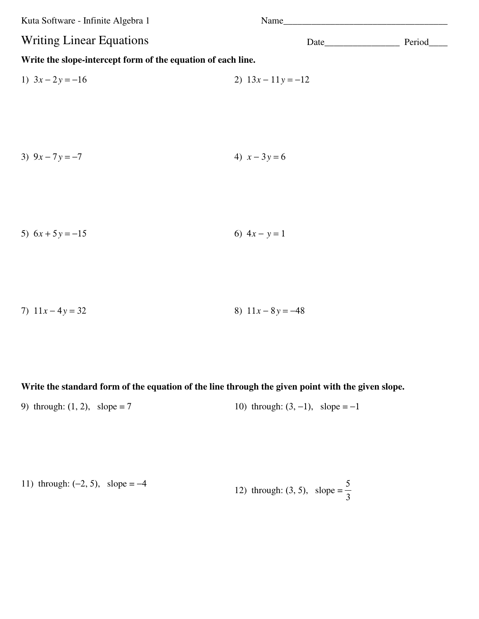Kuta Software - Infinite Algebra 1 Name\_\_\_\_\_\_\_\_\_\_\_\_\_\_\_\_\_\_\_\_\_\_\_\_\_\_\_\_\_\_\_\_\_\_\_

## **Write the slope-intercept form of the equation of each line.**

1) 
$$
3x - 2y = -16
$$
  
2)  $13x - 11y = -12$ 

3) 
$$
9x - 7y = -7
$$
  
4)  $x - 3y = 6$ 

5) 
$$
6x + 5y = -15
$$
 6)  $4x - y = 1$ 

7)  $11x - 4y = 32$  8)  $11x - 8y = -48$ 

### **Write the standard form of the equation of the line through the given point with the given slope.**

9) through: (1, 2), slope = 7 10) through:  $(3, -1)$ , slope = -1

11) through: (-2, 5), slope = -4  
12) through: (3, 5), slope = 
$$
\frac{5}{3}
$$

Writing Linear Equations Date\_\_\_\_\_\_\_\_\_\_\_\_\_\_\_\_\_ Period\_\_\_\_\_\_\_\_\_\_\_\_\_\_\_\_\_\_ Period\_\_\_\_\_\_\_\_\_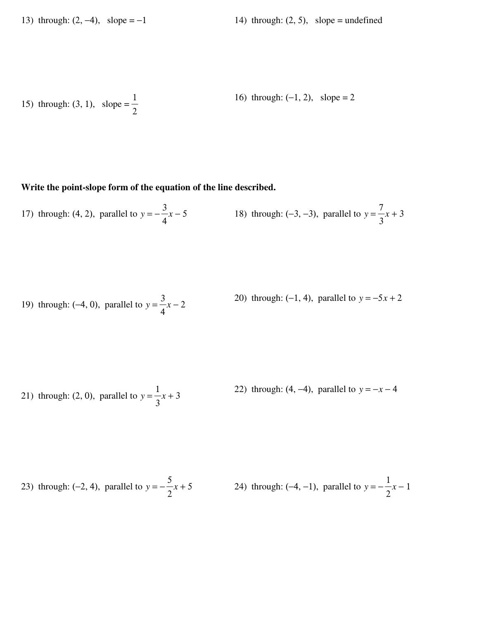13) through:  $(2, -4)$ , slope =  $-1$  14) through:  $(2, 5)$ , slope = undefined

15) through:  $(3, 1)$ , slope = 1 2 16) through: (−1, 2), slope = 2

## **Write the point-slope form of the equation of the line described.**

17) through: (4, 2), parallel to 
$$
y = -\frac{3}{4}x - 5
$$
 18) through: (-3, -3), parallel to  $y = \frac{7}{3}x + 3$ 

19) through: (-4, 0), parallel to 
$$
y = \frac{3}{4}x - 2
$$
  
20) through: (-1, 4), parallel to  $y = -5x + 2$ 

21) through: (2, 0), parallel to 
$$
y = \frac{1}{3}x + 3
$$
  
22) through: (4, -4), parallel to  $y = -x - 4$ 

23) through: (-2, 4), parallel to 
$$
y = -\frac{5}{2}x + 5
$$
 24) through: (-4, -1), parallel to  $y = -\frac{1}{2}x - 1$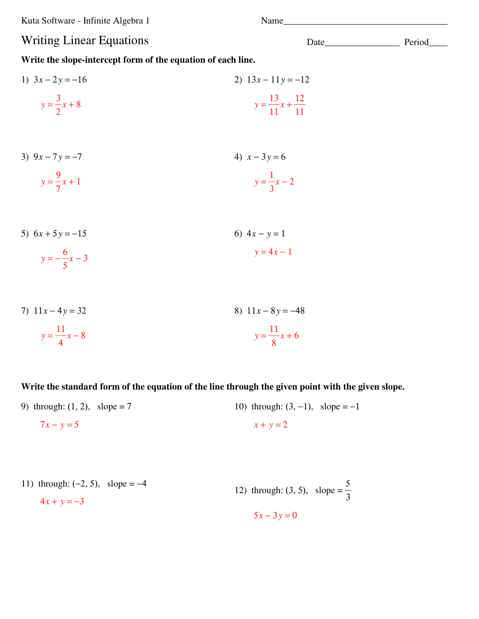Kuta Software - Infinite Algebra 1 Name\_\_\_\_\_\_\_\_\_\_\_\_\_\_\_\_\_\_\_\_\_\_\_\_\_\_\_\_\_\_\_\_\_\_\_

# Writing Linear Equations Date\_\_\_\_\_\_\_\_\_\_\_\_\_\_\_\_\_ Period\_\_\_\_\_\_\_\_\_\_\_\_\_\_\_\_\_\_\_ Period\_\_\_\_\_\_\_

**Write the slope-intercept form of the equation of each line.**

1) 
$$
3x - 2y = -16
$$
  
\n $y = \frac{3}{2}x + 8$   
\n2)  $13x - 11y = -12$   
\n $y = \frac{13}{11}x + \frac{12}{11}$ 

- 3)  $9x 7y = -7$  $y =$ 9 7 *x* + 1 4)  $x - 3y = 6$  $y =$ 1 3 *x* − 2
- 5)  $6x + 5y = -15$ *y* = − 6  $\frac{6}{5}x-3$ 6)  $4x - y = 1$  $y = 4x - 1$
- 7) 11*x* − 4*y* = 32  $y =$ 11 4 *x* − 8 8) 11*x* − 8*y* = −48 *y* = 11 8 *x* + 6

### **Write the standard form of the equation of the line through the given point with the given slope.**

9) through:  $(1, 2)$ , slope = 7  $7x - y = 5$ 10) through:  $(3, -1)$ , slope =  $-1$  $x + y = 2$ 

11) through: (-2, 5), slope = -4  
\n
$$
4x + y = -3
$$
  
\n12) through: (3, 5), slope =  $\frac{5}{3}$   
\n $5x - 3y = 0$